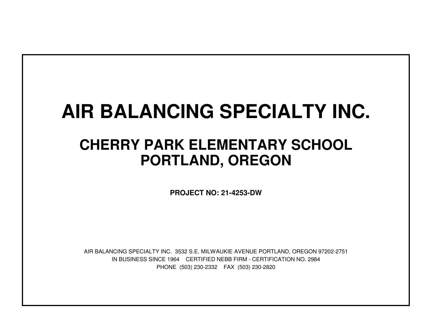## **AIR BALANCING SPECIALTY INC.**

## **CHERRY PARK ELEMENTARY SCHOOLPORTLAND, OREGON**

**PROJECT NO: 21-4253-DW**

IN BUSINESS SINCE 1964 CERTIFIED NEBB FIRM - CERTIFICATION NO. 2984PHONE (503) 230-2332 FAX (503) 230-2820AIR BALANCING SPECIALTY INC. 3532 S.E. MILWAUKIE AVENUE PORTLAND, OREGON 97202-2751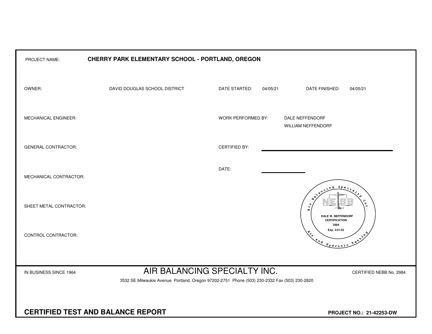| PROJECT NAME:                            | CHERRY PARK ELEMENTARY SCHOOL - PORTLAND, OREGON                                                                        |                           |          |                                                                                                                                                                                                                                                                                                                                                                                      |
|------------------------------------------|-------------------------------------------------------------------------------------------------------------------------|---------------------------|----------|--------------------------------------------------------------------------------------------------------------------------------------------------------------------------------------------------------------------------------------------------------------------------------------------------------------------------------------------------------------------------------------|
| OWNER:                                   | DAVID DOUGLAS SCHOOL DISTRICT                                                                                           | DATE STARTED:             | 04/05/21 | DATE FINISHED:<br>04/05/21                                                                                                                                                                                                                                                                                                                                                           |
| MECHANICAL ENGINEER:                     |                                                                                                                         | <b>WORK PERFORMED BY:</b> |          | DALE NEFFENDORF<br><b>WILLIAM NEFFENDORF</b>                                                                                                                                                                                                                                                                                                                                         |
| <b>GENERAL CONTRACTOR:</b>               |                                                                                                                         | <b>CERTIFIED BY:</b>      |          |                                                                                                                                                                                                                                                                                                                                                                                      |
| MECHANICAL CONTRACTOR:                   |                                                                                                                         | DATE:                     |          | $S_{PQ}$                                                                                                                                                                                                                                                                                                                                                                             |
| SHEET METAL CONTRACTOR:                  |                                                                                                                         |                           |          | Ч<br>4<br>DALE W. NEFFENDORF<br><b>CERTIFICATION</b>                                                                                                                                                                                                                                                                                                                                 |
| CONTROL CONTRACTOR:                      |                                                                                                                         |                           |          | 2984<br>Exp. 3/31/22<br>$x^2$<br>$\begin{picture}(180,10) \put(0,0){\line(1,0){10}} \put(10,0){\line(1,0){10}} \put(10,0){\line(1,0){10}} \put(10,0){\line(1,0){10}} \put(10,0){\line(1,0){10}} \put(10,0){\line(1,0){10}} \put(10,0){\line(1,0){10}} \put(10,0){\line(1,0){10}} \put(10,0){\line(1,0){10}} \put(10,0){\line(1,0){10}} \put(10,0){\line(1,0){10}} \put(10,0){\line($ |
| IN BUSINESS SINCE 1964                   | CERTIFIED NEBB No. 2984<br>3532 SE Milwaukie Avenue Portland, Oregon 97202-2751 Phone (503) 230-2332 Fax (503) 230-2820 |                           |          |                                                                                                                                                                                                                                                                                                                                                                                      |
| <b>CERTIFIED TEST AND BALANCE REPORT</b> |                                                                                                                         |                           |          | PROJECT NO.: 21-42253-DW                                                                                                                                                                                                                                                                                                                                                             |
|                                          |                                                                                                                         |                           |          |                                                                                                                                                                                                                                                                                                                                                                                      |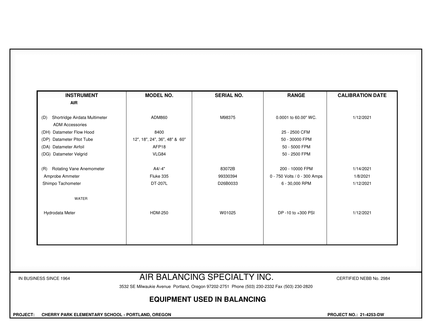| ADM860<br>8400<br>12", 18", 24", 36", 48" & 60"<br>AFP18<br>VLG84<br>A4/-4" | M98375<br>83072B | 0.0001 to 60.00" WC.<br>25 - 2500 CFM<br>50 - 30000 FPM<br>50 - 5000 FPM<br>50 - 2500 FPM | 1/12/2021                    |
|-----------------------------------------------------------------------------|------------------|-------------------------------------------------------------------------------------------|------------------------------|
|                                                                             |                  |                                                                                           |                              |
|                                                                             |                  |                                                                                           |                              |
|                                                                             |                  |                                                                                           |                              |
|                                                                             |                  |                                                                                           |                              |
|                                                                             |                  |                                                                                           |                              |
|                                                                             |                  |                                                                                           |                              |
|                                                                             |                  | 200 - 10000 FPM                                                                           | 1/14/2021                    |
| Fluke 335                                                                   | 99330394         | 0 - 750 Volts / 0 - 300 Amps                                                              | 1/8/2021                     |
| DT-207L                                                                     | D26B0033         | 6 - 30,000 RPM                                                                            | 1/12/2021                    |
|                                                                             |                  |                                                                                           |                              |
| <b>HDM-250</b>                                                              | W01025           | DP -10 to +300 PSI                                                                        | 1/12/2021                    |
|                                                                             |                  |                                                                                           |                              |
|                                                                             |                  |                                                                                           |                              |
|                                                                             |                  |                                                                                           |                              |
|                                                                             |                  |                                                                                           | AIR BALANCING SPECIALTY INC. |

3532 SE Milwaukie Avenue Portland, Oregon 97202-2751 Phone (503) 230-2332 Fax (503) 230-2820

## **EQUIPMENT USED IN BALANCING**

 **PROJECT: CHERRY PARK ELEMENTARY SCHOOL - PORTLAND, OREGON PROJECT NO.: 21-4253-DW**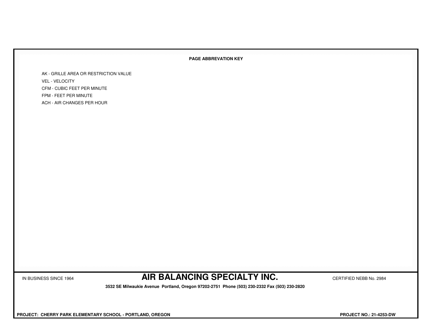## **PAGE ABBREVATION KEY**

AK - GRILLE AREA OR RESTRICTION VALUEVEL - VELOCITY CFM - CUBIC FEET PER MINUTEFPM - FEET PER MINUTEACH - AIR CHANGES PER HOUR

IN BUSINESS SINCE 1964 **AIR BALANCING SPECIALTY INC.** CERTIFIED NEBB No. 2984

 **3532 SE Milwaukie Avenue Portland, Oregon 97202-2751 Phone (503) 230-2332 Fax (503) 230-2820**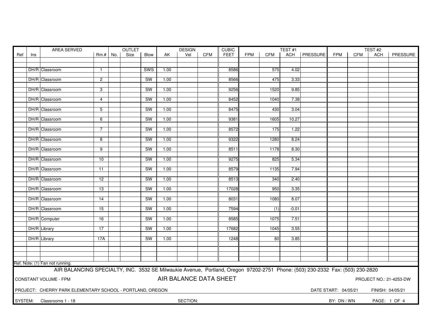| AREA SERVED |     |                                                                                                                               |                 |     | <b>OUTLET</b> |             |      | <b>DESIGN</b>          |            | <b>CUBIC</b> | TEST#1     |            |         |                 |                      |            | TEST#2           |                         |
|-------------|-----|-------------------------------------------------------------------------------------------------------------------------------|-----------------|-----|---------------|-------------|------|------------------------|------------|--------------|------------|------------|---------|-----------------|----------------------|------------|------------------|-------------------------|
| Ref         | Ins |                                                                                                                               | Rm.#            | No. | Size          | <b>Blow</b> | AK.  | Vel                    | <b>CFM</b> | <b>FEET</b>  | <b>FPM</b> | <b>CFM</b> | ACH     | <b>PRESSURE</b> | <b>FPM</b>           | <b>CFM</b> | <b>ACH</b>       | PRESSURE                |
|             |     |                                                                                                                               |                 |     |               |             |      |                        |            |              |            |            |         |                 |                      |            |                  |                         |
|             |     |                                                                                                                               |                 |     |               |             |      |                        |            |              |            |            |         |                 |                      |            |                  |                         |
|             |     | DH/R Classroom                                                                                                                | $\mathbf{1}$    |     |               | SWS         | 1.00 |                        |            | 8586         |            | 575        | 4.02    |                 |                      |            |                  |                         |
|             |     |                                                                                                                               |                 |     |               | <b>SW</b>   | 1.00 |                        |            | 8566         |            | 475        | 3.33    |                 |                      |            |                  |                         |
|             |     | DH/R Classroom                                                                                                                | $\overline{2}$  |     |               |             |      |                        |            |              |            |            |         |                 |                      |            |                  |                         |
|             |     | DH/R Classroom                                                                                                                | 3               |     |               | <b>SW</b>   | 1.00 |                        |            | 9256         |            | 1520       | 9.85    |                 |                      |            |                  |                         |
|             |     |                                                                                                                               |                 |     |               |             |      |                        |            |              |            |            |         |                 |                      |            |                  |                         |
|             |     | <b>DH/R</b> Classroom                                                                                                         | $\overline{4}$  |     |               | <b>SW</b>   | 1.00 |                        |            | 8452         |            | 1040       | 7.38    |                 |                      |            |                  |                         |
|             |     |                                                                                                                               |                 |     |               |             |      |                        |            |              |            |            |         |                 |                      |            |                  |                         |
|             |     | DH/R Classroom                                                                                                                | 5               |     |               | <b>SW</b>   | 1.00 |                        |            | 8475         |            | 430        | 3.04    |                 |                      |            |                  |                         |
|             |     |                                                                                                                               |                 |     |               |             |      |                        |            |              |            |            |         |                 |                      |            |                  |                         |
|             |     | DH/R Classroom                                                                                                                | 6               |     |               | <b>SW</b>   | 1.00 |                        |            | 9381         |            | 1605       | 10.27   |                 |                      |            |                  |                         |
|             |     |                                                                                                                               |                 |     |               |             |      |                        |            |              |            |            |         |                 |                      |            |                  |                         |
|             |     | DH/R Classroom                                                                                                                | $\overline{7}$  |     |               | SW          | 1.00 |                        |            | 8572         |            | 175        | 1.22    |                 |                      |            |                  |                         |
|             |     |                                                                                                                               |                 |     |               |             |      |                        |            |              |            |            |         |                 |                      |            |                  |                         |
|             |     | DH/R Classroom                                                                                                                | ೫               |     |               | SW          | 1.00 |                        |            | 9322         |            | 1280       | 8.24    |                 |                      |            |                  |                         |
|             |     | DH/R Classroom                                                                                                                | $\overline{9}$  |     |               | SW          | 1.00 |                        |            | 8511         |            | 1178       | 8.30    |                 |                      |            |                  |                         |
|             |     |                                                                                                                               |                 |     |               |             |      |                        |            |              |            |            |         |                 |                      |            |                  |                         |
|             |     | DH/R Classroom                                                                                                                | 10              |     |               | SW          | 1.00 |                        |            | 9275         |            | 825        | 5.34    |                 |                      |            |                  |                         |
|             |     |                                                                                                                               |                 |     |               |             |      |                        |            |              |            |            |         |                 |                      |            |                  |                         |
|             |     | DH/R Classroom                                                                                                                | 11              |     |               | SW          | 1.00 |                        |            | 8579         |            | 1135       | 7.94    |                 |                      |            |                  |                         |
|             |     |                                                                                                                               |                 |     |               |             |      |                        |            |              |            |            |         |                 |                      |            |                  |                         |
|             |     | DH/R Classroom                                                                                                                | $\overline{12}$ |     |               | <b>SW</b>   | 1.00 |                        |            | 8513         |            | 340        | 2.40    |                 |                      |            |                  |                         |
|             |     |                                                                                                                               |                 |     |               |             |      |                        |            |              |            |            |         |                 |                      |            |                  |                         |
|             |     | DH/R Classroom                                                                                                                | 13              |     |               | <b>SW</b>   | 1.00 |                        |            | 17028        |            | 950        | 3.35    |                 |                      |            |                  |                         |
|             |     |                                                                                                                               |                 |     |               |             |      |                        |            |              |            |            |         |                 |                      |            |                  |                         |
|             |     | DH/R Classroom                                                                                                                | 14              |     |               | <b>SW</b>   | 1.00 |                        |            | 8031         |            | 1080       | 8.07    |                 |                      |            |                  |                         |
|             |     |                                                                                                                               |                 |     |               |             |      |                        |            |              |            |            |         |                 |                      |            |                  |                         |
|             |     | DH/R Classroom                                                                                                                | 15              |     |               | SW          | 1.00 |                        |            | 7594         |            | (1)        | $-0.01$ |                 |                      |            |                  |                         |
|             |     |                                                                                                                               |                 |     |               |             |      |                        |            |              |            |            |         |                 |                      |            |                  |                         |
|             |     | DH/R Computer                                                                                                                 | 16              |     |               | SW          | 1.00 |                        |            | 8585         |            | 1075       | 7.51    |                 |                      |            |                  |                         |
|             |     |                                                                                                                               |                 |     |               | <b>SW</b>   |      |                        |            | 17682        |            |            |         |                 |                      |            |                  |                         |
|             |     | <b>DH/R</b> Library                                                                                                           | 17              |     |               |             | 1.00 |                        |            |              |            | 1045       | 3.55    |                 |                      |            |                  |                         |
|             |     | DH/R Library                                                                                                                  | 17A             |     |               | <b>SW</b>   | 1.00 |                        |            | 1248         |            | 80         | 3.85    |                 |                      |            |                  |                         |
|             |     |                                                                                                                               |                 |     |               |             |      |                        |            |              |            |            |         |                 |                      |            |                  |                         |
|             |     |                                                                                                                               |                 |     |               |             |      |                        |            |              |            |            |         |                 |                      |            |                  |                         |
|             |     |                                                                                                                               |                 |     |               |             |      |                        |            |              |            |            |         |                 |                      |            |                  |                         |
|             |     |                                                                                                                               |                 |     |               |             |      |                        |            |              |            |            |         |                 |                      |            |                  |                         |
|             |     | Ref. Note: (1) Fan not running.                                                                                               |                 |     |               |             |      |                        |            |              |            |            |         |                 |                      |            |                  |                         |
|             |     | AIR BALANCING SPECIALTY, INC. 3532 SE Milwaukie Avenue, Portland, Oregon 97202-2751 Phone: (503) 230-2332 Fax: (503) 230-2820 |                 |     |               |             |      |                        |            |              |            |            |         |                 |                      |            |                  |                         |
|             |     |                                                                                                                               |                 |     |               |             |      |                        |            |              |            |            |         |                 |                      |            |                  |                         |
|             |     | CONSTANT VOLUME - FPM                                                                                                         |                 |     |               |             |      | AIR BALANCE DATA SHEET |            |              |            |            |         |                 |                      |            |                  | PROJECT NO.: 21-4253-DW |
|             |     |                                                                                                                               |                 |     |               |             |      |                        |            |              |            |            |         |                 |                      |            |                  |                         |
|             |     | PROJECT: CHERRY PARK ELEMENTARY SCHOOL - PORTLAND, OREGON                                                                     |                 |     |               |             |      |                        |            |              |            |            |         |                 | DATE START: 04/05/21 |            | FINISH: 04/05/21 |                         |
|             |     |                                                                                                                               |                 |     |               |             |      |                        |            |              |            |            |         |                 |                      |            |                  |                         |
|             |     | SYSTEM: Classrooms 1 - 18                                                                                                     |                 |     |               |             |      | SECTION:               |            |              |            |            |         |                 | BY: DN / WN          |            |                  | PAGE: 1 OF 4            |
|             |     |                                                                                                                               |                 |     |               |             |      |                        |            |              |            |            |         |                 |                      |            |                  |                         |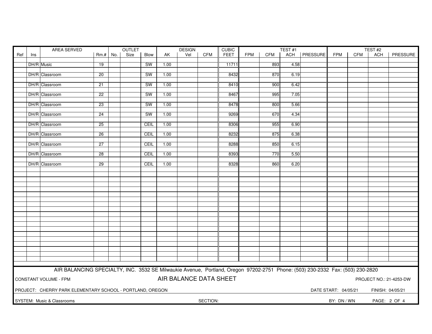| AREA SERVED<br>OUTLET |     |                                                                                                                               |                 |  |      |           |      | <b>DESIGN</b>          |            | <b>CUBIC</b> |            |            | TEST#1 |                | TEST#2               |            |                  |                         |
|-----------------------|-----|-------------------------------------------------------------------------------------------------------------------------------|-----------------|--|------|-----------|------|------------------------|------------|--------------|------------|------------|--------|----------------|----------------------|------------|------------------|-------------------------|
| Ref                   | Ins |                                                                                                                               | $Rm.+$ No.      |  | Size | Blow      | AK   | Vel                    | <b>CFM</b> | <b>FEET</b>  | <b>FPM</b> | <b>CFM</b> |        | ACH   PRESSURE | FPM                  | <b>CFM</b> | ACH              | PRESSURE                |
|                       |     |                                                                                                                               |                 |  |      |           |      |                        |            |              |            |            |        |                |                      |            |                  |                         |
|                       |     | DH/R Music                                                                                                                    | 19              |  |      | SW        | 1.00 |                        |            | 11711        |            | 893        | 4.58   |                |                      |            |                  |                         |
|                       |     |                                                                                                                               |                 |  |      |           |      |                        |            |              |            |            |        |                |                      |            |                  |                         |
|                       |     | DH/R Classroom                                                                                                                | $\overline{20}$ |  |      | <b>SW</b> | 1.00 |                        |            | 8432         |            | 870        | 6.19   |                |                      |            |                  |                         |
|                       |     |                                                                                                                               |                 |  |      |           |      |                        |            |              |            |            |        |                |                      |            |                  |                         |
|                       |     | DH/R Classroom                                                                                                                | 21              |  |      | <b>SW</b> | 1.00 |                        |            | 8410         |            | 900        | 6.42   |                |                      |            |                  |                         |
|                       |     |                                                                                                                               |                 |  |      |           |      |                        |            |              |            |            |        |                |                      |            |                  |                         |
|                       |     | DH/R Classroom                                                                                                                | 22              |  |      | <b>SW</b> | 1.00 |                        |            | 8467         |            | 995        | 7.05   |                |                      |            |                  |                         |
|                       |     |                                                                                                                               |                 |  |      |           |      |                        |            |              |            |            |        |                |                      |            |                  |                         |
|                       |     | DH/R Classroom                                                                                                                | 23              |  |      | SW        | 1.00 |                        |            | 8478         |            | 800        | 5.66   |                |                      |            |                  |                         |
|                       |     |                                                                                                                               |                 |  |      |           |      |                        |            |              |            |            |        |                |                      |            |                  |                         |
|                       |     | DH/R Classroom                                                                                                                | 24              |  |      | <b>SW</b> | 1.00 |                        |            | 9269         |            | 670        | 4.34   |                |                      |            |                  |                         |
|                       |     | DH/R Classroom                                                                                                                | 25              |  |      | CEIL      | 1.00 |                        |            | 8306         |            | 955        | 6.90   |                |                      |            |                  |                         |
|                       |     |                                                                                                                               |                 |  |      |           |      |                        |            |              |            |            |        |                |                      |            |                  |                         |
|                       |     | DH/R Classroom                                                                                                                | $\overline{26}$ |  |      | CEIL      | 1.00 |                        |            | 8232         |            | 875        | 6.38   |                |                      |            |                  |                         |
|                       |     |                                                                                                                               |                 |  |      |           |      |                        |            |              |            |            |        |                |                      |            |                  |                         |
|                       |     | DH/R Classroom                                                                                                                | $\overline{27}$ |  |      | CEIL      | 1.00 |                        |            | 8288         |            | 850        | 6.15   |                |                      |            |                  |                         |
|                       |     |                                                                                                                               |                 |  |      |           |      |                        |            |              |            |            |        |                |                      |            |                  |                         |
|                       |     | DH/R Classroom                                                                                                                | 28              |  |      | CEIL      | 1.00 |                        |            | 8393         |            | 770        | 5.50   |                |                      |            |                  |                         |
|                       |     |                                                                                                                               |                 |  |      |           |      |                        |            |              |            |            |        |                |                      |            |                  |                         |
|                       |     | DH/R Classroom                                                                                                                | 29              |  |      | CEIL      | 1.00 |                        |            | 8328         |            | 860        | 6.20   |                |                      |            |                  |                         |
|                       |     |                                                                                                                               |                 |  |      |           |      |                        |            |              |            |            |        |                |                      |            |                  |                         |
|                       |     |                                                                                                                               |                 |  |      |           |      |                        |            |              |            |            |        |                |                      |            |                  |                         |
|                       |     |                                                                                                                               |                 |  |      |           |      |                        |            |              |            |            |        |                |                      |            |                  |                         |
|                       |     |                                                                                                                               |                 |  |      |           |      |                        |            |              |            |            |        |                |                      |            |                  |                         |
|                       |     |                                                                                                                               |                 |  |      |           |      |                        |            |              |            |            |        |                |                      |            |                  |                         |
|                       |     |                                                                                                                               |                 |  |      |           |      |                        |            |              |            |            |        |                |                      |            |                  |                         |
|                       |     |                                                                                                                               |                 |  |      |           |      |                        |            |              |            |            |        |                |                      |            |                  |                         |
|                       |     |                                                                                                                               |                 |  |      |           |      |                        |            |              |            |            |        |                |                      |            |                  |                         |
|                       |     |                                                                                                                               |                 |  |      |           |      |                        |            |              |            |            |        |                |                      |            |                  |                         |
|                       |     |                                                                                                                               |                 |  |      |           |      |                        |            |              |            |            |        |                |                      |            |                  |                         |
|                       |     |                                                                                                                               |                 |  |      |           |      |                        |            |              |            |            |        |                |                      |            |                  |                         |
|                       |     |                                                                                                                               |                 |  |      |           |      |                        |            |              |            |            |        |                |                      |            |                  |                         |
|                       |     |                                                                                                                               |                 |  |      |           |      |                        |            |              |            |            |        |                |                      |            |                  |                         |
|                       |     |                                                                                                                               |                 |  |      |           |      |                        |            |              |            |            |        |                |                      |            |                  |                         |
|                       |     |                                                                                                                               |                 |  |      |           |      |                        |            |              |            |            |        |                |                      |            |                  |                         |
|                       |     |                                                                                                                               |                 |  |      |           |      |                        |            |              |            |            |        |                |                      |            |                  |                         |
|                       |     |                                                                                                                               |                 |  |      |           |      |                        |            |              |            |            |        |                |                      |            |                  |                         |
|                       |     |                                                                                                                               |                 |  |      |           |      |                        |            |              |            |            |        |                |                      |            |                  |                         |
|                       |     |                                                                                                                               |                 |  |      |           |      |                        |            |              |            |            |        |                |                      |            |                  |                         |
|                       |     |                                                                                                                               |                 |  |      |           |      |                        |            |              |            |            |        |                |                      |            |                  |                         |
|                       |     | AIR BALANCING SPECIALTY, INC. 3532 SE Milwaukie Avenue, Portland, Oregon 97202-2751 Phone: (503) 230-2332 Fax: (503) 230-2820 |                 |  |      |           |      |                        |            |              |            |            |        |                |                      |            |                  |                         |
|                       |     | <b>CONSTANT VOLUME - FPM</b>                                                                                                  |                 |  |      |           |      | AIR BALANCE DATA SHEET |            |              |            |            |        |                |                      |            |                  |                         |
|                       |     |                                                                                                                               |                 |  |      |           |      |                        |            |              |            |            |        |                |                      |            |                  | PROJECT NO.: 21-4253-DW |
|                       |     |                                                                                                                               |                 |  |      |           |      |                        |            |              |            |            |        |                |                      |            |                  |                         |
|                       |     | PROJECT: CHERRY PARK ELEMENTARY SCHOOL - PORTLAND, OREGON                                                                     |                 |  |      |           |      |                        |            |              |            |            |        |                | DATE START: 04/05/21 |            | FINISH: 04/05/21 |                         |
|                       |     |                                                                                                                               |                 |  |      |           |      |                        |            |              |            |            |        |                |                      |            |                  |                         |
|                       |     | SYSTEM: Music & Classrooms                                                                                                    |                 |  |      |           |      |                        | SECTION:   |              |            |            |        |                | BY: DN / WN          |            |                  | PAGE: 2 OF 4            |
|                       |     |                                                                                                                               |                 |  |      |           |      |                        |            |              |            |            |        |                |                      |            |                  |                         |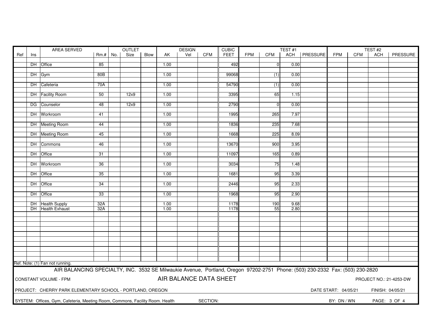|     |     | AREA SERVED<br>OUTLET                                                                                                         |                 |  |      |      |      | <b>DESIGN</b>          |          | <b>CUBIC</b> | TEST#1     |                |      |                 | TEST#2               |     |                  |                         |
|-----|-----|-------------------------------------------------------------------------------------------------------------------------------|-----------------|--|------|------|------|------------------------|----------|--------------|------------|----------------|------|-----------------|----------------------|-----|------------------|-------------------------|
| Ref | Ins |                                                                                                                               | $Rm.+$ No.      |  | Size | Blow | AK   | Vel                    | CFM      | <b>FEET</b>  | <b>FPM</b> | CFM            | ACH  | <b>PRESSURE</b> | <b>FPM</b>           | CFM | ACH              | PRESSURE                |
|     |     |                                                                                                                               |                 |  |      |      |      |                        |          |              |            |                |      |                 |                      |     |                  |                         |
|     |     | DH Office                                                                                                                     | 85              |  |      |      | 1.00 |                        |          | 492          |            | $\overline{0}$ | 0.00 |                 |                      |     |                  |                         |
|     |     |                                                                                                                               |                 |  |      |      |      |                        |          |              |            |                |      |                 |                      |     |                  |                         |
|     |     | DH Gym                                                                                                                        | 80B             |  |      |      | 1.00 |                        |          | 99068        |            | (1)            | 0.00 |                 |                      |     |                  |                         |
|     |     | DH Cafeteria                                                                                                                  | 70A             |  |      |      | 1.00 |                        |          | 54790        |            | (1)            | 0.00 |                 |                      |     |                  |                         |
|     |     |                                                                                                                               |                 |  |      |      |      |                        |          |              |            |                |      |                 |                      |     |                  |                         |
|     |     | DH Facility Room                                                                                                              | 50              |  | 12x9 |      | 1.00 |                        |          | 3395         |            | 65             | 1.15 |                 |                      |     |                  |                         |
|     |     |                                                                                                                               |                 |  |      |      |      |                        |          |              |            |                |      |                 |                      |     |                  |                         |
|     |     | DG Counselor                                                                                                                  | 48              |  | 12x9 |      | 1.00 |                        |          | 2790         |            | $\mathbf 0$    | 0.00 |                 |                      |     |                  |                         |
|     |     |                                                                                                                               |                 |  |      |      |      |                        |          |              |            |                |      |                 |                      |     |                  |                         |
|     |     | DH Workroom                                                                                                                   | 41              |  |      |      | 1.00 |                        |          | 1995         |            | 265            | 7.97 |                 |                      |     |                  |                         |
|     |     |                                                                                                                               |                 |  |      |      |      |                        |          |              |            |                |      |                 |                      |     |                  |                         |
|     |     | DH Meeting Room                                                                                                               | 44              |  |      |      | 1.00 |                        |          | 1836         |            | 235            | 7.68 |                 |                      |     |                  |                         |
|     |     |                                                                                                                               |                 |  |      |      |      |                        |          |              |            | 225            |      |                 |                      |     |                  |                         |
|     |     | DH Meeting Room                                                                                                               | 45              |  |      |      | 1.00 |                        |          | 1668         |            |                | 8.09 |                 |                      |     |                  |                         |
|     |     | DH Commons                                                                                                                    | 46              |  |      |      | 1.00 |                        |          | 13670        |            | 900            | 3.95 |                 |                      |     |                  |                         |
|     |     |                                                                                                                               |                 |  |      |      |      |                        |          |              |            |                |      |                 |                      |     |                  |                         |
|     |     | DH Office                                                                                                                     | 31              |  |      |      | 1.00 |                        |          | 11097        |            | 165            | 0.89 |                 |                      |     |                  |                         |
|     |     |                                                                                                                               |                 |  |      |      |      |                        |          |              |            |                |      |                 |                      |     |                  |                         |
|     |     | DH Workroom                                                                                                                   | $\overline{36}$ |  |      |      | 1.00 |                        |          | 3034         |            | 75             | 1.48 |                 |                      |     |                  |                         |
|     |     |                                                                                                                               |                 |  |      |      |      |                        |          |              |            |                |      |                 |                      |     |                  |                         |
|     |     | DH Office                                                                                                                     | 35              |  |      |      | 1.00 |                        |          | 1681         |            | 95             | 3.39 |                 |                      |     |                  |                         |
|     |     |                                                                                                                               |                 |  |      |      |      |                        |          |              |            |                |      |                 |                      |     |                  |                         |
|     |     | DH Office                                                                                                                     | 34              |  |      |      | 1.00 |                        |          | 2446         |            | 95             | 2.33 |                 |                      |     |                  |                         |
|     |     | DH Office                                                                                                                     | 33              |  |      |      | 1.00 |                        |          | 1968         |            | 95             | 2.90 |                 |                      |     |                  |                         |
|     |     |                                                                                                                               |                 |  |      |      |      |                        |          |              |            |                |      |                 |                      |     |                  |                         |
|     |     | DH Health Supply                                                                                                              | 32A             |  |      |      | 1.00 |                        |          | 1178         |            | 190            | 9.68 |                 |                      |     |                  |                         |
|     |     | DH Health Exhaust                                                                                                             | 32A             |  |      |      | 1.00 |                        |          | 1178         |            | 55             | 2.80 |                 |                      |     |                  |                         |
|     |     |                                                                                                                               |                 |  |      |      |      |                        |          |              |            |                |      |                 |                      |     |                  |                         |
|     |     |                                                                                                                               |                 |  |      |      |      |                        |          |              |            |                |      |                 |                      |     |                  |                         |
|     |     |                                                                                                                               |                 |  |      |      |      |                        |          |              |            |                |      |                 |                      |     |                  |                         |
|     |     |                                                                                                                               |                 |  |      |      |      |                        |          |              |            |                |      |                 |                      |     |                  |                         |
|     |     |                                                                                                                               |                 |  |      |      |      |                        |          |              |            |                |      |                 |                      |     |                  |                         |
|     |     |                                                                                                                               |                 |  |      |      |      |                        |          |              |            |                |      |                 |                      |     |                  |                         |
|     |     |                                                                                                                               |                 |  |      |      |      |                        |          |              |            |                |      |                 |                      |     |                  |                         |
|     |     |                                                                                                                               |                 |  |      |      |      |                        |          |              |            |                |      |                 |                      |     |                  |                         |
|     |     |                                                                                                                               |                 |  |      |      |      |                        |          |              |            |                |      |                 |                      |     |                  |                         |
|     |     | Ref. Note: (1) Fan not running.                                                                                               |                 |  |      |      |      |                        |          |              |            |                |      |                 |                      |     |                  |                         |
|     |     | AIR BALANCING SPECIALTY, INC. 3532 SE Milwaukie Avenue, Portland, Oregon 97202-2751 Phone: (503) 230-2332 Fax: (503) 230-2820 |                 |  |      |      |      |                        |          |              |            |                |      |                 |                      |     |                  |                         |
|     |     |                                                                                                                               |                 |  |      |      |      |                        |          |              |            |                |      |                 |                      |     |                  |                         |
|     |     | <b>CONSTANT VOLUME - FPM</b>                                                                                                  |                 |  |      |      |      | AIR BALANCE DATA SHEET |          |              |            |                |      |                 |                      |     |                  | PROJECT NO.: 21-4253-DW |
|     |     |                                                                                                                               |                 |  |      |      |      |                        |          |              |            |                |      |                 |                      |     |                  |                         |
|     |     | PROJECT: CHERRY PARK ELEMENTARY SCHOOL - PORTLAND, OREGON                                                                     |                 |  |      |      |      |                        |          |              |            |                |      |                 | DATE START: 04/05/21 |     | FINISH: 04/05/21 |                         |
|     |     |                                                                                                                               |                 |  |      |      |      |                        |          |              |            |                |      |                 |                      |     |                  |                         |
|     |     | SYSTEM: Offices, Gym, Cafeteria, Meeting Room, Commons, Facility Room. Health                                                 |                 |  |      |      |      |                        | SECTION: |              |            |                |      |                 | BY: DN / WN          |     | PAGE: 3 OF 4     |                         |
|     |     |                                                                                                                               |                 |  |      |      |      |                        |          |              |            |                |      |                 |                      |     |                  |                         |